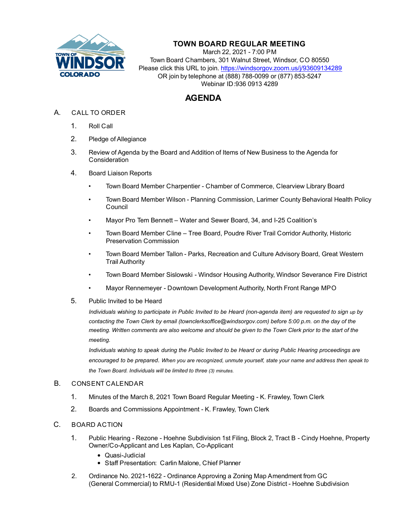

## **TOWN BOARD REGULAR MEETING**

March 22, 2021 - 7:00 PM Town Board Chambers, 301 Walnut Street, Windsor, CO 80550 Please click this URL to join. https://windsorgov.zoom.us/j/93609134289 OR join by telephone at (888) 788-0099 or (877) 853-5247 Webinar ID:936 0913 4289

# **AGENDA**

- A. CALL TO ORDER
	- 1. Roll Call
	- 2. Pledge of Allegiance
	- 3. Review of Agenda by the Board and Addition of Items of New Business to the Agenda for **Consideration**
	- 4. Board Liaison Reports
		- Town Board Member Charpentier Chamber of Commerce, Clearview Library Board
		- Town Board Member Wilson Planning Commission, Larimer County Behavioral Health Policy Council
		- Mayor Pro Tem Bennett Water and Sewer Board, 34, and I-25 Coalition's
		- Town Board Member Cline Tree Board, Poudre River Trail Corridor Authority, Historic Preservation Commission
		- Town Board Member Tallon Parks, Recreation and Culture Advisory Board, Great Western Trail Authority
		- Town Board Member Sislowski Windsor Housing Authority, Windsor Severance Fire District
		- Mayor Rennemeyer Downtown Development Authority, North Front Range MPO
	- 5. Public Invited to be Heard

*Individuals wishing to participate in Public Invited to be Heard (non-agenda item) are requested to sign up by contacting the Town Clerk by email (townclerksoffice@windsorgov.com) before 5:00 p.m. on the day of the meeting. Written comments are also welcome and should be given to the Town Clerk prior to the start of the meeting.*

*Individuals wishing to speak during the Public Invited to be Heard or during Public Hearing proceedings are encouraged to be prepared. When you are recognized, unmute yourself, state your name and address then speak to the Town Board. Individuals will be limited to three (3) minutes.* 

#### B. CONSENT CALENDAR

- 1. [Minutes of the March 8, 2021 Town Board Regular Meeting K. Frawley, Town Clerk](file:///C:/Windows/TEMP/CoverSheet.aspx?ItemID=1336&MeetingID=265)
- 2. [Boards and Commissions Appointment K. Frawley, Town Clerk](file:///C:/Windows/TEMP/CoverSheet.aspx?ItemID=1309&MeetingID=265)

### C. BOARD ACTION

- 1. [Public Hearing Rezone Hoehne Subdivision 1st Filing, Block 2, Tract B Cindy Hoehne](file:///C:/Windows/TEMP/CoverSheet.aspx?ItemID=1289&MeetingID=265), Property Owner/Co-Applicant and Les Kaplan, Co-Applicant
	- Quasi-Judicial
	- Staff Presentation: Carlin Malone, Chief Planner
- 2. [Ordinance No. 2021-1622 Ordinance Approving a Zoning Map Amendment from GC](file:///C:/Windows/TEMP/CoverSheet.aspx?ItemID=1290&MeetingID=265) (General Commercial) to RMU-1 (Residential Mixed Use) Zone District - Hoehne Subdivision